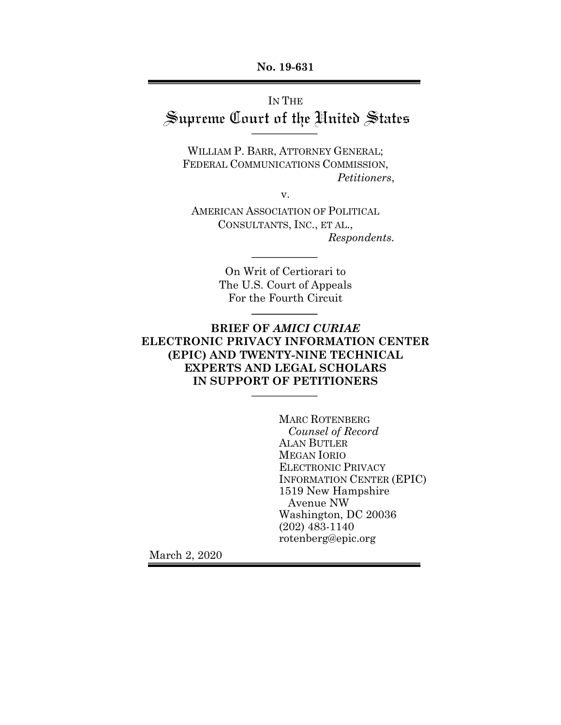**No. 19-631**

# IN THE Supreme Court of the United States

WILLIAM P. BARR, ATTORNEY GENERAL; FEDERAL COMMUNICATIONS COMMISSION, *Petitioners*,

v.

AMERICAN ASSOCIATION OF POLITICAL CONSULTANTS, INC., ET AL., *Respondents.*

> On Writ of Certiorari to The U.S. Court of Appeals For the Fourth Circuit

## **BRIEF OF** *AMICI CURIAE* **ELECTRONIC PRIVACY INFORMATION CENTER (EPIC) AND TWENTY-NINE TECHNICAL EXPERTS AND LEGAL SCHOLARS IN SUPPORT OF PETITIONERS**

MARC ROTENBERG *Counsel of Record* ALAN BUTLER MEGAN IORIO ELECTRONIC PRIVACY INFORMATION CENTER (EPIC) 1519 New Hampshire Avenue NW Washington, DC 20036 (202) 483-1140 rotenberg@epic.org

March 2, 2020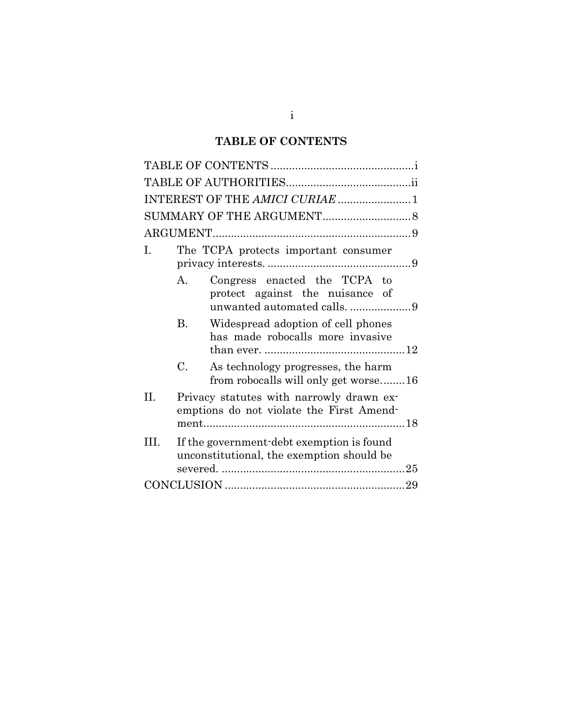## **TABLE OF CONTENTS**

| INTEREST OF THE AMICI CURIAE  1 |                                      |                                                                                                |  |  |  |
|---------------------------------|--------------------------------------|------------------------------------------------------------------------------------------------|--|--|--|
|                                 |                                      |                                                                                                |  |  |  |
|                                 |                                      |                                                                                                |  |  |  |
| I.                              | The TCPA protects important consumer |                                                                                                |  |  |  |
|                                 | A.                                   | Congress enacted the TCPA to<br>protect against the nuisance of<br>unwanted automated calls. 9 |  |  |  |
|                                 | <b>B.</b>                            | Widespread adoption of cell phones<br>has made robocalls more invasive                         |  |  |  |
|                                 | C.                                   | As technology progresses, the harm<br>from robocalls will only get worse16                     |  |  |  |
| Н.                              |                                      | Privacy statutes with narrowly drawn ex-<br>emptions do not violate the First Amend-           |  |  |  |
| Ш                               |                                      | If the government-debt exemption is found<br>unconstitutional, the exemption should be         |  |  |  |
|                                 |                                      |                                                                                                |  |  |  |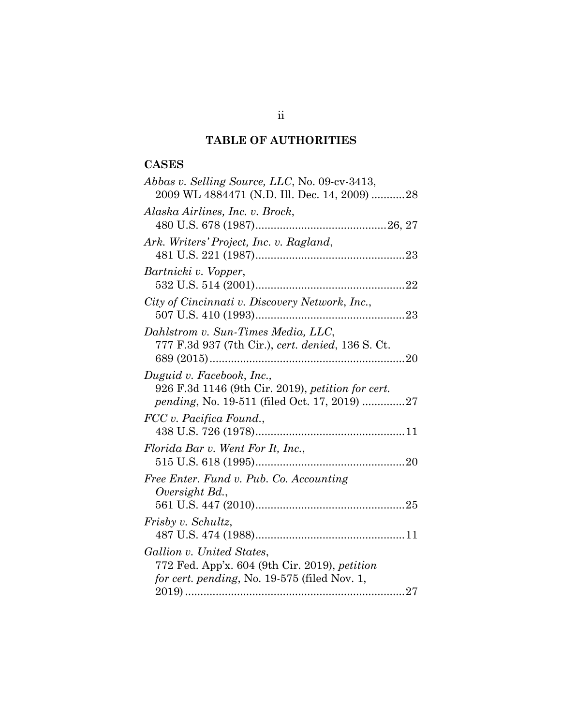## **TABLE OF AUTHORITIES**

## **CASES**

| <i>Abbas v. Selling Source, LLC, No.</i> 09-cv-3413, |
|------------------------------------------------------|
| 2009 WL 4884471 (N.D. Ill. Dec. 14, 2009) 28         |
| Alaska Airlines, Inc. v. Brock,                      |
|                                                      |
| Ark. Writers' Project, Inc. v. Ragland,              |
|                                                      |
| Bartnicki v. Vopper,                                 |
|                                                      |
| City of Cincinnati v. Discovery Network, Inc.,       |
|                                                      |
| Dahlstrom v. Sun-Times Media, LLC,                   |
| 777 F.3d 937 (7th Cir.), cert. denied, 136 S. Ct.    |
|                                                      |
| Duguid v. Facebook, Inc.,                            |
| 926 F.3d 1146 (9th Cir. 2019), petition for cert.    |
| <i>pending</i> , No. 19-511 (filed Oct. 17, 2019) 27 |
| FCC v. Pacifica Found.,                              |
|                                                      |
| Florida Bar v. Went For It, Inc.,                    |
|                                                      |
| Free Enter. Fund v. Pub. Co. Accounting              |
| Oversight Bd.,                                       |
|                                                      |
| Frisby v. Schultz,                                   |
|                                                      |
| Gallion v. United States,                            |
| 772 Fed. App'x. 604 (9th Cir. 2019), petition        |
| for cert. pending, No. 19-575 (filed Nov. 1,         |
|                                                      |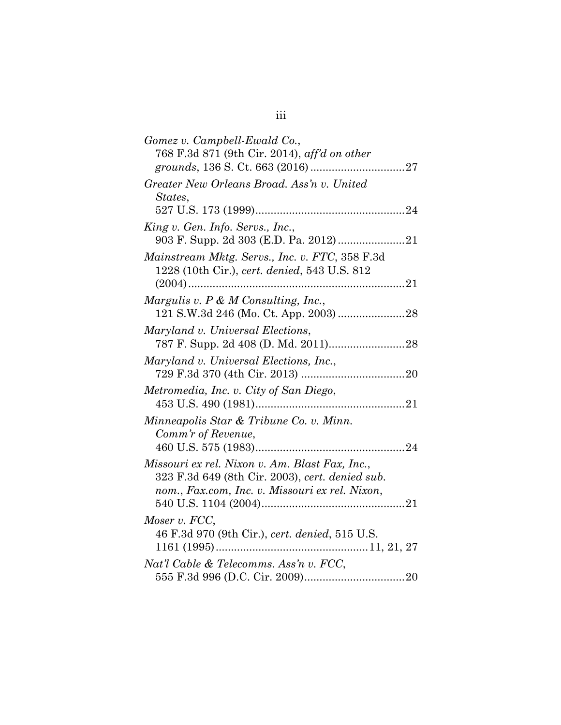| Gomez v. Campbell-Ewald Co.,                    |  |
|-------------------------------------------------|--|
| 768 F.3d 871 (9th Cir. 2014), aff'd on other    |  |
|                                                 |  |
| Greater New Orleans Broad. Ass'n v. United      |  |
| States,                                         |  |
|                                                 |  |
| King v. Gen. Info. Servs., Inc.,                |  |
|                                                 |  |
| Mainstream Mktg. Servs., Inc. v. FTC, 358 F.3d  |  |
| 1228 (10th Cir.), cert. denied, 543 U.S. 812    |  |
|                                                 |  |
| Margulis v. P & M Consulting, Inc.,             |  |
|                                                 |  |
| Maryland v. Universal Elections,                |  |
|                                                 |  |
| Maryland v. Universal Elections, Inc.,          |  |
|                                                 |  |
|                                                 |  |
| Metromedia, Inc. v. City of San Diego,          |  |
|                                                 |  |
| Minneapolis Star & Tribune Co. v. Minn.         |  |
| Comm'r of Revenue,                              |  |
|                                                 |  |
| Missouri ex rel. Nixon v. Am. Blast Fax, Inc.,  |  |
| 323 F.3d 649 (8th Cir. 2003), cert. denied sub. |  |
| nom., Fax.com, Inc. v. Missouri ex rel. Nixon,  |  |
|                                                 |  |
| Moser v. FCC,                                   |  |
| 46 F.3d 970 (9th Cir.), cert. denied, 515 U.S.  |  |
|                                                 |  |
| Nat'l Cable & Telecomms. Ass'n v. FCC,          |  |
|                                                 |  |

# iii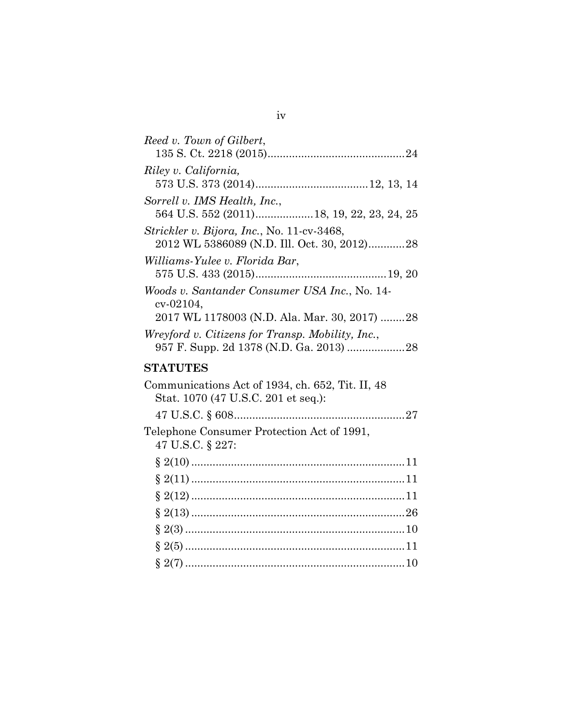| Reed v. Town of Gilbert,                                                                                   |
|------------------------------------------------------------------------------------------------------------|
| Riley v. California,                                                                                       |
| Sorrell v. IMS Health, Inc.,<br>564 U.S. 552 (2011)18, 19, 22, 23, 24, 25                                  |
| Strickler v. Bijora, Inc., No. 11-cv-3468,<br>2012 WL 5386089 (N.D. Ill. Oct. 30, 2012)28                  |
| Williams-Yulee v. Florida Bar,                                                                             |
| Woods v. Santander Consumer USA Inc., No. 14-<br>cv-02104,<br>2017 WL 1178003 (N.D. Ala. Mar. 30, 2017) 28 |
| Wreyford v. Citizens for Transp. Mobility, Inc.,                                                           |
| <b>STATUTES</b>                                                                                            |
| Communications Act of 1934, ch. 652, Tit. II, 48<br>Stat. 1070 (47 U.S.C. 201 et seq.):                    |
|                                                                                                            |
| Telephone Consumer Protection Act of 1991,<br>47 U.S.C. § 227:                                             |
|                                                                                                            |
|                                                                                                            |
|                                                                                                            |
|                                                                                                            |
|                                                                                                            |
|                                                                                                            |
|                                                                                                            |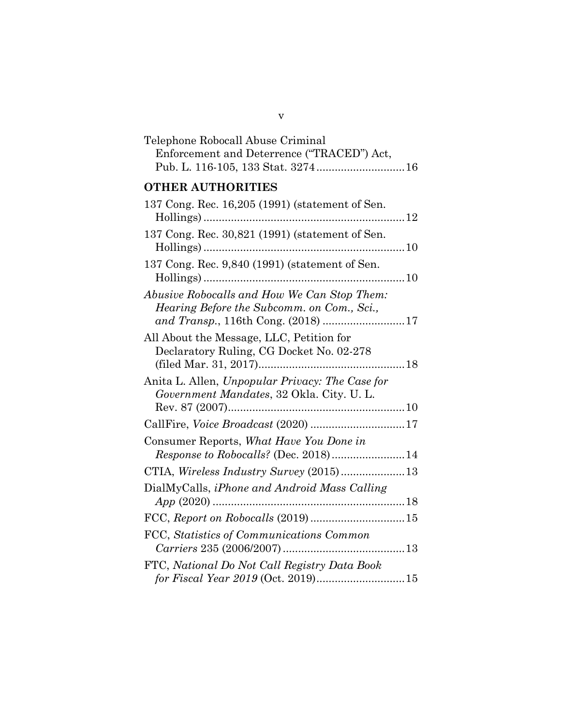## Telephone Robocall Abuse Criminal Enforcement and Deterrence ("TRACED") Act, Pub. L. 116-105, 133 Stat. 3274.............................16 **OTHER AUTHORITIES** 137 Cong. Rec. 16,205 (1991) (statement of Sen. Hollings)..................................................................12 137 Cong. Rec. 30,821 (1991) (statement of Sen. Hollings)..................................................................10 137 Cong. Rec. 9,840 (1991) (statement of Sen. Hollings)..................................................................10 *Abusive Robocalls and How We Can Stop Them: Hearing Before the Subcomm. on Com., Sci., and Transp.*, 116th Cong. (2018) ...........................17 All About the Message, LLC, Petition for Declaratory Ruling, CG Docket No. 02-278 (filed Mar. 31, 2017)................................................18 Anita L. Allen, *Unpopular Privacy: The Case for Government Mandates*, 32 Okla. City. U. L. Rev. 87 (2007)..........................................................10 CallFire, *Voice Broadcast* (2020) ...............................17 Consumer Reports, *What Have You Done in Response to Robocalls?* (Dec. 2018)........................14 CTIA, *Wireless Industry Survey* (2015).....................13 DialMyCalls, *iPhone and Android Mass Calling App* (2020) ...............................................................18 FCC, *Report on Robocalls* (2019)...............................15 FCC, *Statistics of Communications Common Carriers* 235 (2006/2007)........................................13 FTC, *National Do Not Call Registry Data Book for Fiscal Year 2019* (Oct. 2019).............................15

v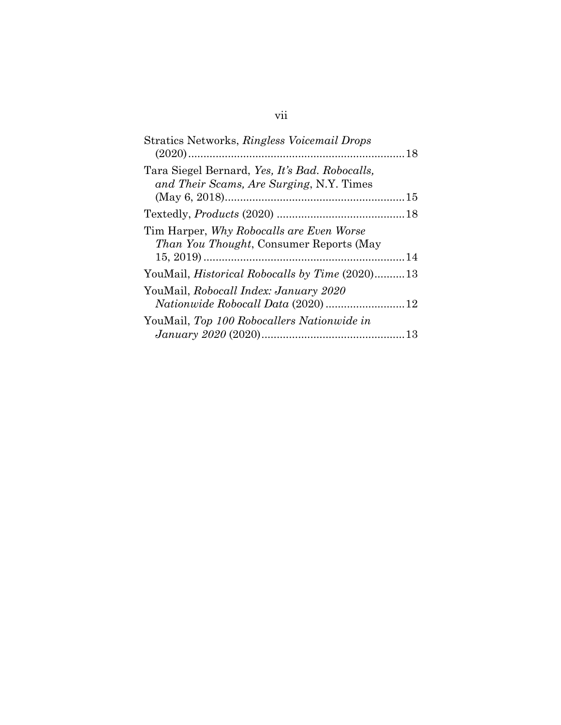| Stratics Networks, Ringless Voicemail Drops                                                |  |
|--------------------------------------------------------------------------------------------|--|
| Tara Siegel Bernard, Yes, It's Bad. Robocalls,<br>and Their Scams, Are Surging, N.Y. Times |  |
|                                                                                            |  |
| Tim Harper, Why Robocalls are Even Worse<br><i>Than You Thought, Consumer Reports (May</i> |  |
| YouMail, <i>Historical Robocalls by Time</i> (2020)13                                      |  |
| YouMail, Robocall Index: January 2020                                                      |  |
| YouMail, Top 100 Robocallers Nationwide in                                                 |  |

## vii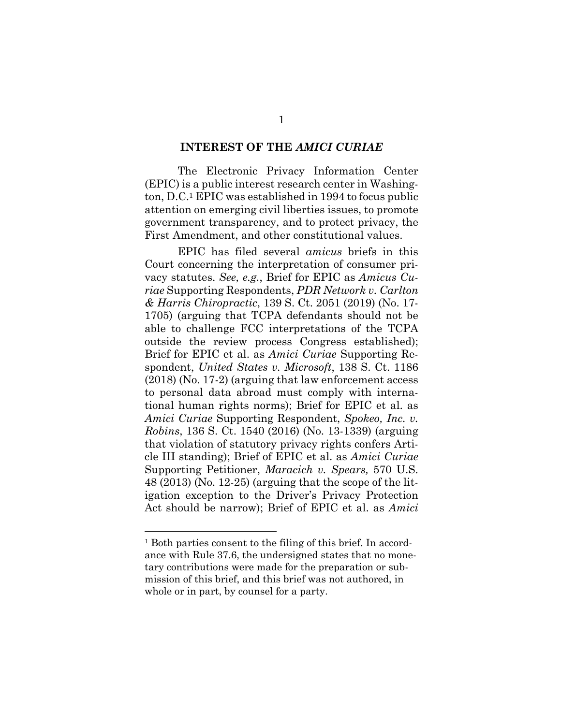#### **INTEREST OF THE** *AMICI CURIAE*

The Electronic Privacy Information Center (EPIC) is a public interest research center in Washington, D.C.1 EPIC was established in 1994 to focus public attention on emerging civil liberties issues, to promote government transparency, and to protect privacy, the First Amendment, and other constitutional values.

EPIC has filed several *amicus* briefs in this Court concerning the interpretation of consumer privacy statutes. *See, e.g.*, Brief for EPIC as *Amicus Curiae* Supporting Respondents, *PDR Network v. Carlton & Harris Chiropractic*, 139 S. Ct. 2051 (2019) (No. 17- 1705) (arguing that TCPA defendants should not be able to challenge FCC interpretations of the TCPA outside the review process Congress established); Brief for EPIC et al. as *Amici Curiae* Supporting Respondent, *United States v. Microsoft*, 138 S. Ct. 1186 (2018) (No. 17-2) (arguing that law enforcement access to personal data abroad must comply with international human rights norms); Brief for EPIC et al. as *Amici Curiae* Supporting Respondent, *Spokeo, Inc. v. Robins*, 136 S. Ct. 1540 (2016) (No. 13-1339) (arguing that violation of statutory privacy rights confers Article III standing); Brief of EPIC et al. as *Amici Curiae*  Supporting Petitioner, *Maracich v. Spears,* 570 U.S. 48 (2013) (No. 12-25) (arguing that the scope of the litigation exception to the Driver's Privacy Protection Act should be narrow); Brief of EPIC et al. as *Amici*

<sup>1</sup> Both parties consent to the filing of this brief. In accordance with Rule 37.6, the undersigned states that no monetary contributions were made for the preparation or submission of this brief, and this brief was not authored, in whole or in part, by counsel for a party.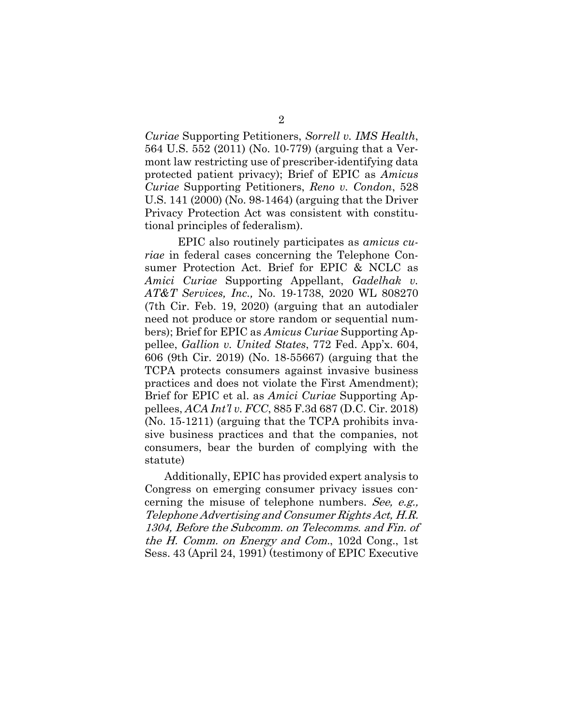*Curiae* Supporting Petitioners, *Sorrell v. IMS Health*, 564 U.S. 552 (2011) (No. 10-779) (arguing that a Vermont law restricting use of prescriber-identifying data protected patient privacy); Brief of EPIC as *Amicus Curiae* Supporting Petitioners, *Reno v. Condon*, 528 U.S. 141 (2000) (No. 98-1464) (arguing that the Driver Privacy Protection Act was consistent with constitutional principles of federalism).

EPIC also routinely participates as *amicus curiae* in federal cases concerning the Telephone Consumer Protection Act. Brief for EPIC & NCLC as *Amici Curiae* Supporting Appellant, *Gadelhak v. AT&T Services, Inc.,* No. 19-1738, 2020 WL 808270 (7th Cir. Feb. 19, 2020) (arguing that an autodialer need not produce or store random or sequential numbers); Brief for EPIC as *Amicus Curiae* Supporting Appellee, *Gallion v. United States*, 772 Fed. App'x. 604, 606 (9th Cir. 2019) (No. 18-55667) (arguing that the TCPA protects consumers against invasive business practices and does not violate the First Amendment); Brief for EPIC et al. as *Amici Curiae* Supporting Appellees, *ACA Int'l v. FCC*, 885 F.3d 687 (D.C. Cir. 2018) (No. 15-1211) (arguing that the TCPA prohibits invasive business practices and that the companies, not consumers, bear the burden of complying with the statute)

Additionally, EPIC has provided expert analysis to Congress on emerging consumer privacy issues concerning the misuse of telephone numbers. See, e.g., Telephone Advertising and Consumer Rights Act, H.R. 1304, Before the Subcomm. on Telecomms. and Fin. of the H. Comm. on Energy and Com., 102d Cong., 1st Sess. 43 (April 24, 1991) (testimony of EPIC Executive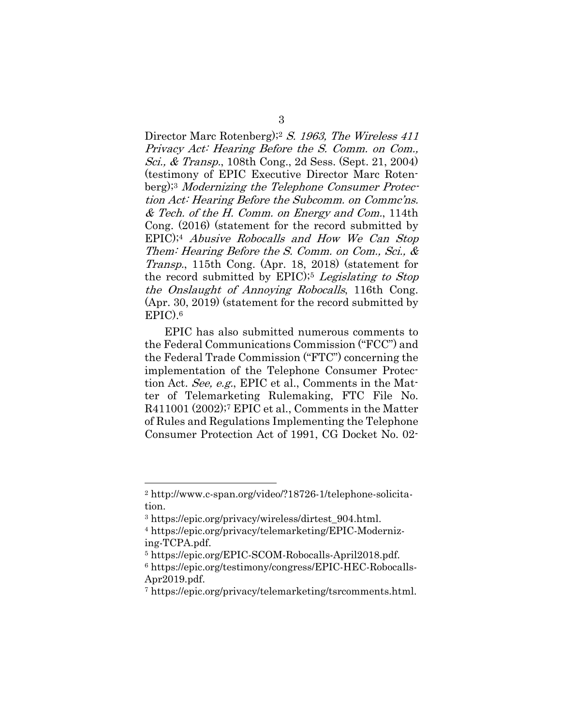Director Marc Rotenberg);2 S. 1963, The Wireless 411 Privacy Act: Hearing Before the S. Comm. on Com., Sci., & Transp., 108th Cong., 2d Sess. (Sept. 21, 2004) (testimony of EPIC Executive Director Marc Rotenberg);3 Modernizing the Telephone Consumer Protection Act: Hearing Before the Subcomm. on Commc'ns.  $&$  Tech. of the H. Comm. on Energy and Com., 114th Cong. (2016) (statement for the record submitted by EPIC);4 Abusive Robocalls and How We Can Stop Them: Hearing Before the S. Comm. on Com., Sci., & Transp., 115th Cong. (Apr. 18, 2018) (statement for the record submitted by EPIC);<sup>5</sup> Legislating to Stop the Onslaught of Annoying Robocalls, 116th Cong. (Apr. 30, 2019) (statement for the record submitted by EPIC).6

EPIC has also submitted numerous comments to the Federal Communications Commission ("FCC") and the Federal Trade Commission ("FTC") concerning the implementation of the Telephone Consumer Protection Act. See, e.g., EPIC et al., Comments in the Matter of Telemarketing Rulemaking, FTC File No. R411001 (2002);7 EPIC et al., Comments in the Matter of Rules and Regulations Implementing the Telephone Consumer Protection Act of 1991, CG Docket No. 02-

<sup>2</sup> http://www.c-span.org/video/?18726-1/telephone-solicitation.

<sup>3</sup> https://epic.org/privacy/wireless/dirtest\_904.html.

<sup>4</sup> https://epic.org/privacy/telemarketing/EPIC-Modernizing-TCPA.pdf.

<sup>5</sup> https://epic.org/EPIC-SCOM-Robocalls-April2018.pdf.

<sup>6</sup> https://epic.org/testimony/congress/EPIC-HEC-Robocalls-Apr2019.pdf.

<sup>7</sup> https://epic.org/privacy/telemarketing/tsrcomments.html.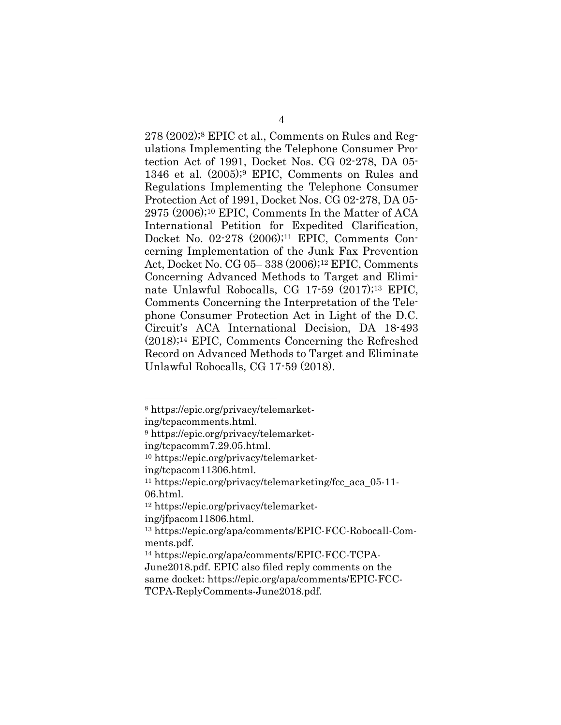278 (2002);8 EPIC et al., Comments on Rules and Regulations Implementing the Telephone Consumer Protection Act of 1991, Docket Nos. CG 02-278, DA 05- 1346 et al. (2005);9 EPIC, Comments on Rules and Regulations Implementing the Telephone Consumer Protection Act of 1991, Docket Nos. CG 02-278, DA 05- 2975 (2006);10 EPIC, Comments In the Matter of ACA International Petition for Expedited Clarification, Docket No. 02-278 (2006);11 EPIC, Comments Concerning Implementation of the Junk Fax Prevention Act, Docket No. CG 05– 338 (2006);12 EPIC, Comments Concerning Advanced Methods to Target and Eliminate Unlawful Robocalls, CG 17-59 (2017);13 EPIC, Comments Concerning the Interpretation of the Telephone Consumer Protection Act in Light of the D.C. Circuit's ACA International Decision, DA 18-493 (2018);14 EPIC, Comments Concerning the Refreshed Record on Advanced Methods to Target and Eliminate Unlawful Robocalls, CG 17-59 (2018).

<sup>8</sup> https://epic.org/privacy/telemarket-

ing/tcpacomments.html.

<sup>9</sup> https://epic.org/privacy/telemarket-

ing/tcpacomm7.29.05.html.

<sup>10</sup> https://epic.org/privacy/telemarket-

ing/tcpacom11306.html.

<sup>11</sup> https://epic.org/privacy/telemarketing/fcc\_aca\_05-11- 06.html.

<sup>12</sup> https://epic.org/privacy/telemarket-

ing/jfpacom11806.html.

<sup>13</sup> https://epic.org/apa/comments/EPIC-FCC-Robocall-Comments.pdf.

<sup>14</sup> https://epic.org/apa/comments/EPIC-FCC-TCPA-June2018.pdf. EPIC also filed reply comments on the same docket: https://epic.org/apa/comments/EPIC-FCC-TCPA-ReplyComments-June2018.pdf.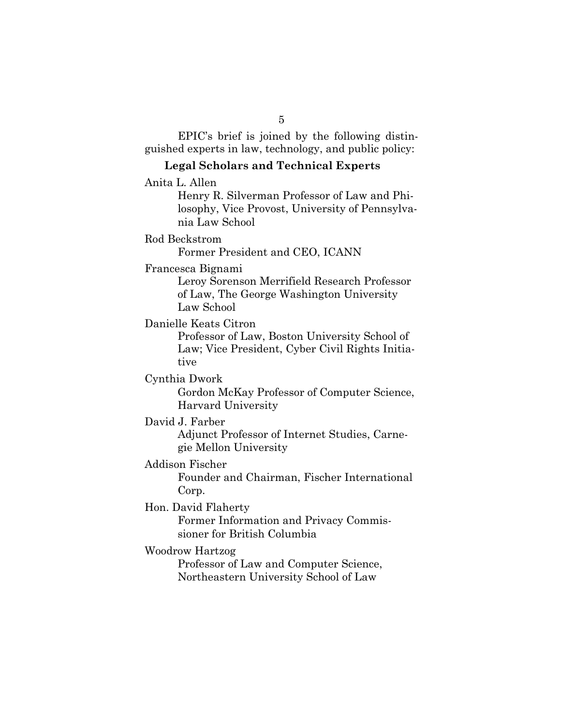EPIC's brief is joined by the following distinguished experts in law, technology, and public policy:

### **Legal Scholars and Technical Experts**

Anita L. Allen

Henry R. Silverman Professor of Law and Philosophy, Vice Provost, University of Pennsylvania Law School

### Rod Beckstrom

Former President and CEO, ICANN

#### Francesca Bignami

Leroy Sorenson Merrifield Research Professor of Law, The George Washington University Law School

Danielle Keats Citron

Professor of Law, Boston University School of Law; Vice President, Cyber Civil Rights Initiative

## Cynthia Dwork

Gordon McKay Professor of Computer Science, Harvard University

#### David J. Farber

Adjunct Professor of Internet Studies, Carnegie Mellon University

#### Addison Fischer

Founder and Chairman, Fischer International Corp.

Hon. David Flaherty

Former Information and Privacy Commissioner for British Columbia

#### Woodrow Hartzog

Professor of Law and Computer Science, Northeastern University School of Law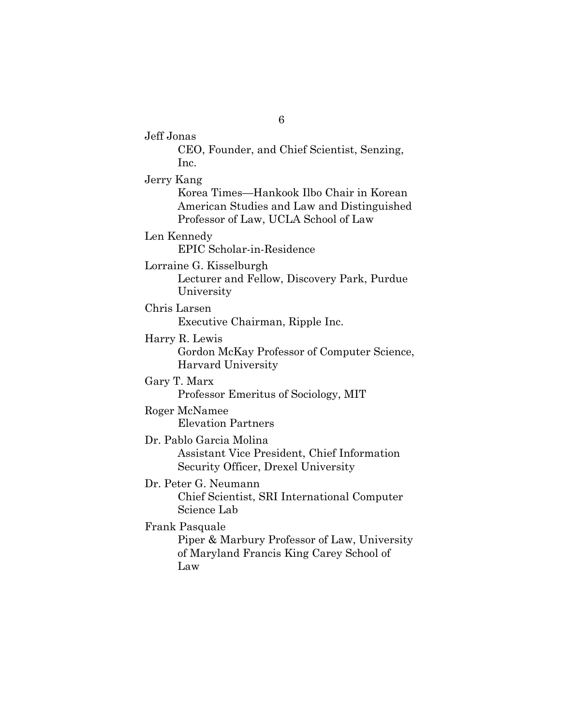Jeff Jonas CEO, Founder, and Chief Scientist, Senzing, Inc. Jerry Kang Korea Times—Hankook Ilbo Chair in Korean American Studies and Law and Distinguished Professor of Law, UCLA School of Law Len Kennedy EPIC Scholar-in-Residence Lorraine G. Kisselburgh Lecturer and Fellow, Discovery Park, Purdue University Chris Larsen Executive Chairman, Ripple Inc. Harry R. Lewis Gordon McKay Professor of Computer Science, Harvard University Gary T. Marx Professor Emeritus of Sociology, MIT Roger McNamee Elevation Partners Dr. Pablo Garcia Molina Assistant Vice President, Chief Information Security Officer, Drexel University Dr. Peter G. Neumann Chief Scientist, SRI International Computer Science Lab Frank Pasquale Piper & Marbury Professor of Law, University of Maryland Francis King Carey School of Law

6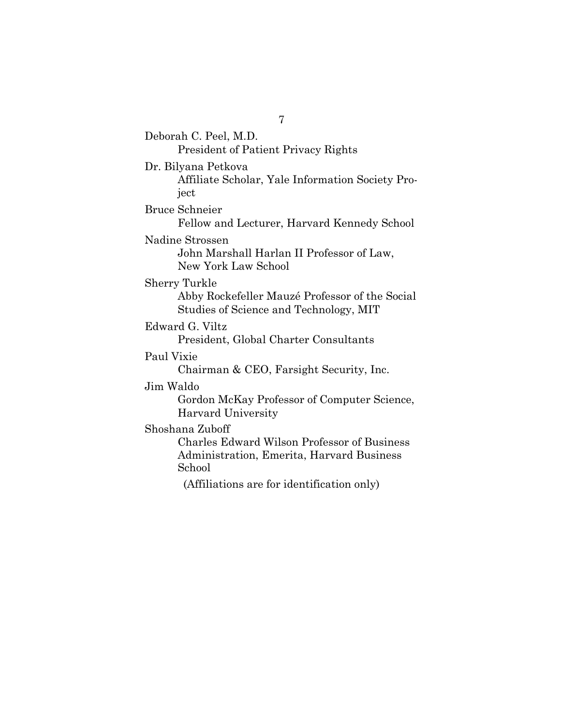7 Deborah C. Peel, M.D. President of Patient Privacy Rights Dr. Bilyana Petkova Affiliate Scholar, Yale Information Society Project Bruce Schneier Fellow and Lecturer, Harvard Kennedy School Nadine Strossen John Marshall Harlan II Professor of Law, New York Law School Sherry Turkle Abby Rockefeller Mauzé Professor of the Social Studies of Science and Technology, MIT Edward G. Viltz President, Global Charter Consultants Paul Vixie Chairman & CEO, Farsight Security, Inc. Jim Waldo Gordon McKay Professor of Computer Science, Harvard University Shoshana Zuboff Charles Edward Wilson Professor of Business Administration, Emerita, Harvard Business School (Affiliations are for identification only)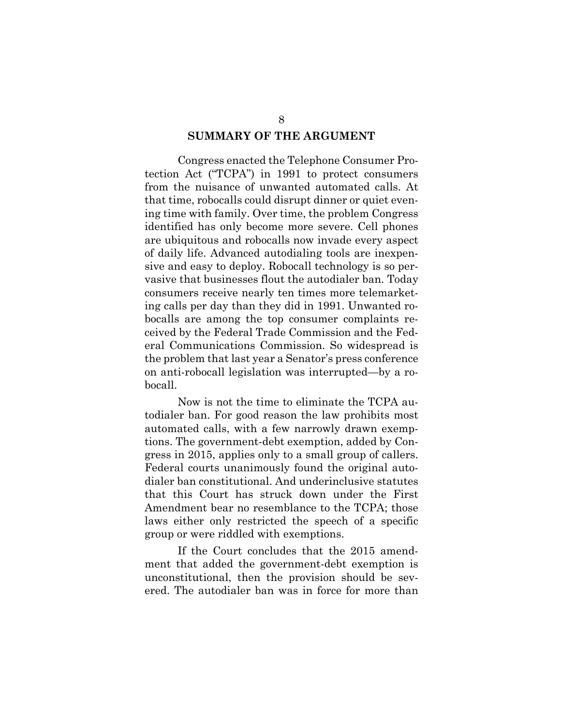#### **SUMMARY OF THE ARGUMENT**

Congress enacted the Telephone Consumer Protection Act ("TCPA") in 1991 to protect consumers from the nuisance of unwanted automated calls. At that time, robocalls could disrupt dinner or quiet evening time with family. Over time, the problem Congress identified has only become more severe. Cell phones are ubiquitous and robocalls now invade every aspect of daily life. Advanced autodialing tools are inexpensive and easy to deploy. Robocall technology is so pervasive that businesses flout the autodialer ban. Today consumers receive nearly ten times more telemarketing calls per day than they did in 1991. Unwanted robocalls are among the top consumer complaints received by the Federal Trade Commission and the Federal Communications Commission. So widespread is the problem that last year a Senator's press conference on anti-robocall legislation was interrupted—by a robocall.

Now is not the time to eliminate the TCPA autodialer ban. For good reason the law prohibits most automated calls, with a few narrowly drawn exemptions. The government-debt exemption, added by Congress in 2015, applies only to a small group of callers. Federal courts unanimously found the original autodialer ban constitutional. And underinclusive statutes that this Court has struck down under the First Amendment bear no resemblance to the TCPA; those laws either only restricted the speech of a specific group or were riddled with exemptions.

If the Court concludes that the 2015 amendment that added the government-debt exemption is unconstitutional, then the provision should be severed. The autodialer ban was in force for more than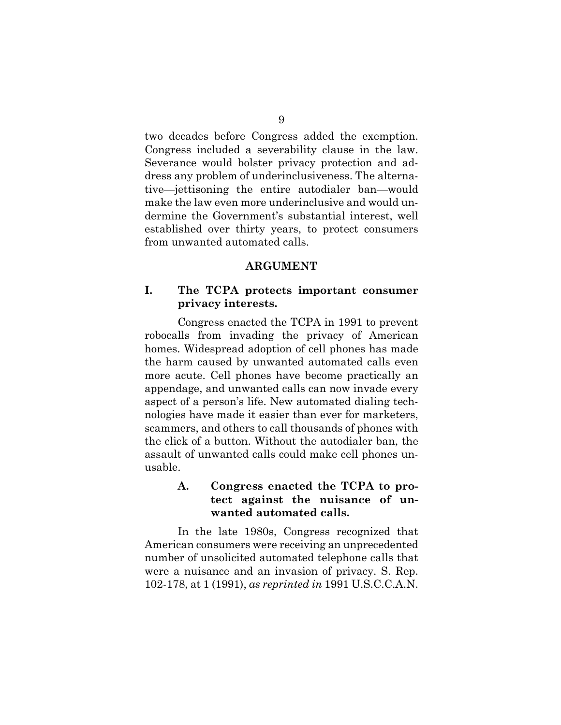two decades before Congress added the exemption. Congress included a severability clause in the law. Severance would bolster privacy protection and address any problem of underinclusiveness. The alternative—jettisoning the entire autodialer ban—would make the law even more underinclusive and would undermine the Government's substantial interest, well established over thirty years, to protect consumers from unwanted automated calls.

#### **ARGUMENT**

## **I. The TCPA protects important consumer privacy interests.**

Congress enacted the TCPA in 1991 to prevent robocalls from invading the privacy of American homes. Widespread adoption of cell phones has made the harm caused by unwanted automated calls even more acute. Cell phones have become practically an appendage, and unwanted calls can now invade every aspect of a person's life. New automated dialing technologies have made it easier than ever for marketers, scammers, and others to call thousands of phones with the click of a button. Without the autodialer ban, the assault of unwanted calls could make cell phones unusable.

### **A. Congress enacted the TCPA to protect against the nuisance of unwanted automated calls.**

In the late 1980s, Congress recognized that American consumers were receiving an unprecedented number of unsolicited automated telephone calls that were a nuisance and an invasion of privacy. S. Rep. 102-178, at 1 (1991), *as reprinted in* 1991 U.S.C.C.A.N.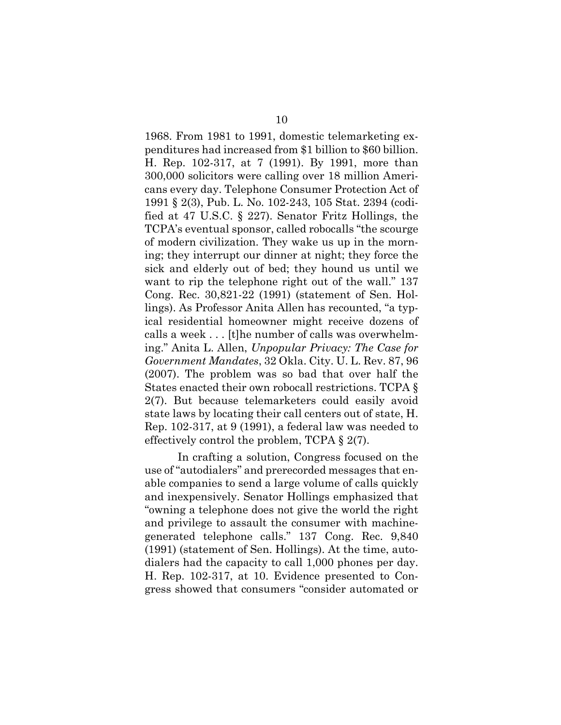1968. From 1981 to 1991, domestic telemarketing expenditures had increased from \$1 billion to \$60 billion. H. Rep. 102-317, at 7 (1991). By 1991, more than 300,000 solicitors were calling over 18 million Americans every day. Telephone Consumer Protection Act of 1991 § 2(3), Pub. L. No. 102-243, 105 Stat. 2394 (codified at 47 U.S.C. § 227). Senator Fritz Hollings, the TCPA's eventual sponsor, called robocalls "the scourge of modern civilization. They wake us up in the morning; they interrupt our dinner at night; they force the sick and elderly out of bed; they hound us until we want to rip the telephone right out of the wall." 137 Cong. Rec. 30,821-22 (1991) (statement of Sen. Hollings). As Professor Anita Allen has recounted, "a typical residential homeowner might receive dozens of calls a week . . . [t]he number of calls was overwhelming." Anita L. Allen, *Unpopular Privacy: The Case for Government Mandates*, 32 Okla. City. U. L. Rev. 87, 96 (2007). The problem was so bad that over half the States enacted their own robocall restrictions. TCPA § 2(7). But because telemarketers could easily avoid state laws by locating their call centers out of state, H. Rep. 102-317, at 9 (1991), a federal law was needed to effectively control the problem, TCPA § 2(7).

In crafting a solution, Congress focused on the use of "autodialers" and prerecorded messages that enable companies to send a large volume of calls quickly and inexpensively. Senator Hollings emphasized that "owning a telephone does not give the world the right and privilege to assault the consumer with machinegenerated telephone calls." 137 Cong. Rec. 9,840 (1991) (statement of Sen. Hollings). At the time, autodialers had the capacity to call 1,000 phones per day. H. Rep. 102-317, at 10. Evidence presented to Congress showed that consumers "consider automated or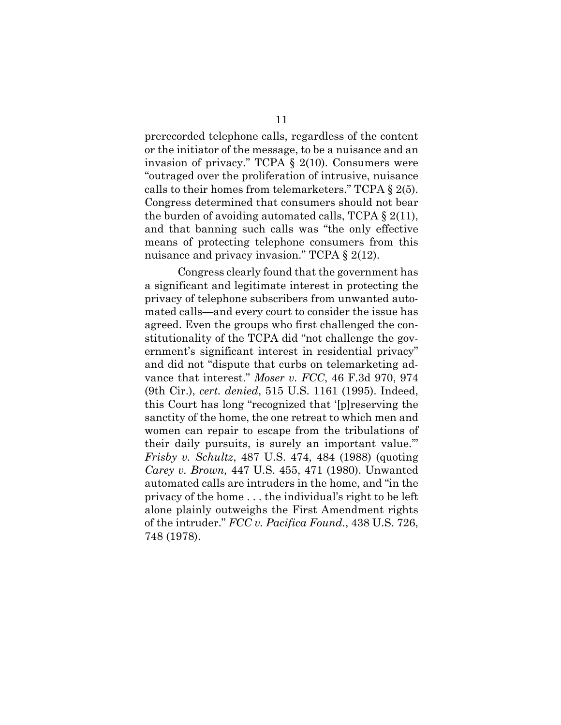prerecorded telephone calls, regardless of the content or the initiator of the message, to be a nuisance and an invasion of privacy." TCPA § 2(10). Consumers were "outraged over the proliferation of intrusive, nuisance calls to their homes from telemarketers." TCPA § 2(5). Congress determined that consumers should not bear the burden of avoiding automated calls, TCPA § 2(11), and that banning such calls was "the only effective means of protecting telephone consumers from this nuisance and privacy invasion." TCPA § 2(12).

Congress clearly found that the government has a significant and legitimate interest in protecting the privacy of telephone subscribers from unwanted automated calls—and every court to consider the issue has agreed. Even the groups who first challenged the constitutionality of the TCPA did "not challenge the government's significant interest in residential privacy" and did not "dispute that curbs on telemarketing advance that interest." *Moser v. FCC*, 46 F.3d 970, 974 (9th Cir.), *cert. denied*, 515 U.S. 1161 (1995). Indeed, this Court has long "recognized that '[p]reserving the sanctity of the home, the one retreat to which men and women can repair to escape from the tribulations of their daily pursuits, is surely an important value.'" *Frisby v. Schultz*, 487 U.S. 474, 484 (1988) (quoting *Carey v. Brown,* 447 U.S. 455, 471 (1980). Unwanted automated calls are intruders in the home, and "in the privacy of the home . . . the individual's right to be left alone plainly outweighs the First Amendment rights of the intruder." *FCC v. Pacifica Found.*, 438 U.S. 726, 748 (1978).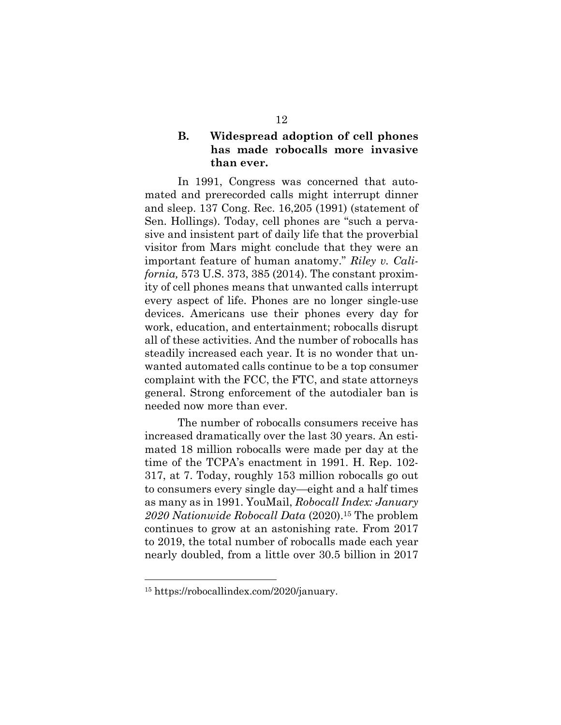## **B. Widespread adoption of cell phones has made robocalls more invasive than ever.**

In 1991, Congress was concerned that automated and prerecorded calls might interrupt dinner and sleep. 137 Cong. Rec. 16,205 (1991) (statement of Sen. Hollings). Today, cell phones are "such a pervasive and insistent part of daily life that the proverbial visitor from Mars might conclude that they were an important feature of human anatomy." *Riley v. California,* 573 U.S. 373, 385 (2014). The constant proximity of cell phones means that unwanted calls interrupt every aspect of life. Phones are no longer single-use devices. Americans use their phones every day for work, education, and entertainment; robocalls disrupt all of these activities. And the number of robocalls has steadily increased each year. It is no wonder that unwanted automated calls continue to be a top consumer complaint with the FCC, the FTC, and state attorneys general. Strong enforcement of the autodialer ban is needed now more than ever.

The number of robocalls consumers receive has increased dramatically over the last 30 years. An estimated 18 million robocalls were made per day at the time of the TCPA's enactment in 1991. H. Rep. 102- 317, at 7. Today, roughly 153 million robocalls go out to consumers every single day—eight and a half times as many as in 1991. YouMail, *Robocall Index: January 2020 Nationwide Robocall Data* (2020).15 The problem continues to grow at an astonishing rate. From 2017 to 2019, the total number of robocalls made each year nearly doubled, from a little over 30.5 billion in 2017

<sup>15</sup> https://robocallindex.com/2020/january.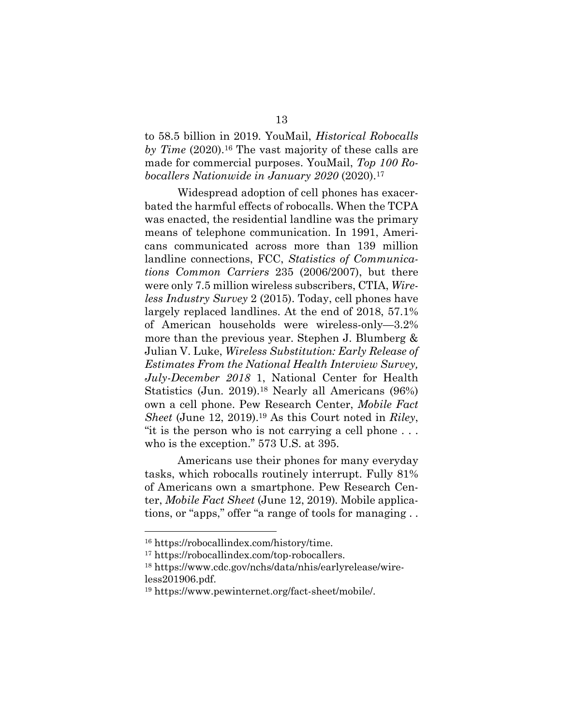to 58.5 billion in 2019. YouMail, *Historical Robocalls*  by Time (2020).<sup>16</sup> The vast majority of these calls are made for commercial purposes. YouMail, *Top 100 Robocallers Nationwide in January 2020* (2020).17

Widespread adoption of cell phones has exacerbated the harmful effects of robocalls. When the TCPA was enacted, the residential landline was the primary means of telephone communication. In 1991, Americans communicated across more than 139 million landline connections, FCC, *Statistics of Communications Common Carriers* 235 (2006/2007), but there were only 7.5 million wireless subscribers, CTIA, *Wireless Industry Survey* 2 (2015). Today, cell phones have largely replaced landlines. At the end of 2018, 57.1% of American households were wireless-only—3.2% more than the previous year. Stephen J. Blumberg & Julian V. Luke, *Wireless Substitution: Early Release of Estimates From the National Health Interview Survey, July-December 2018* 1, National Center for Health Statistics (Jun. 2019).<sup>18</sup> Nearly all Americans (96%) own a cell phone. Pew Research Center, *Mobile Fact Sheet* (June 12, 2019).19 As this Court noted in *Riley*, "it is the person who is not carrying a cell phone . . . who is the exception." 573 U.S. at 395.

Americans use their phones for many everyday tasks, which robocalls routinely interrupt. Fully 81% of Americans own a smartphone. Pew Research Center, *Mobile Fact Sheet* (June 12, 2019)*.* Mobile applications, or "apps," offer "a range of tools for managing . .

<sup>16</sup> https://robocallindex.com/history/time.

<sup>17</sup> https://robocallindex.com/top-robocallers.

<sup>18</sup> https://www.cdc.gov/nchs/data/nhis/earlyrelease/wireless201906.pdf.

<sup>19</sup> https://www.pewinternet.org/fact-sheet/mobile/.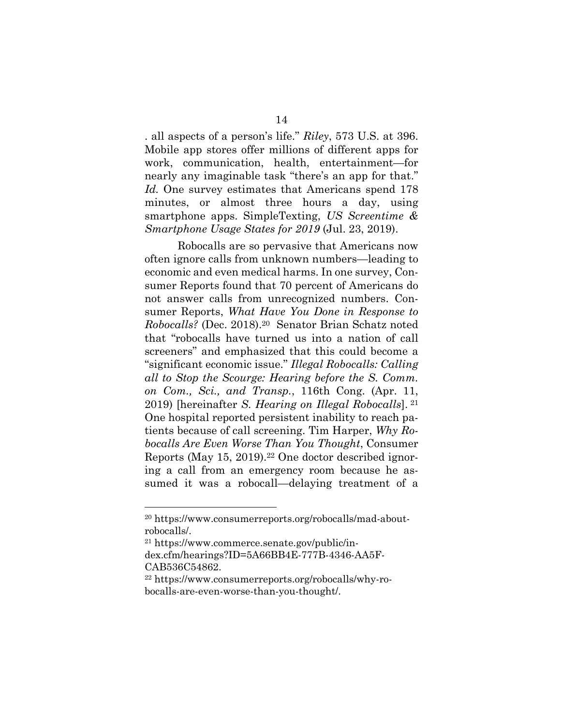. all aspects of a person's life." *Riley*, 573 U.S. at 396. Mobile app stores offer millions of different apps for work, communication, health, entertainment—for nearly any imaginable task "there's an app for that." *Id.* One survey estimates that Americans spend 178 minutes, or almost three hours a day, using smartphone apps. SimpleTexting, *US Screentime & Smartphone Usage States for 2019* (Jul. 23, 2019).

Robocalls are so pervasive that Americans now often ignore calls from unknown numbers—leading to economic and even medical harms. In one survey, Consumer Reports found that 70 percent of Americans do not answer calls from unrecognized numbers. Consumer Reports, *What Have You Done in Response to Robocalls?* (Dec. 2018).20 Senator Brian Schatz noted that "robocalls have turned us into a nation of call screeners" and emphasized that this could become a "significant economic issue." *Illegal Robocalls: Calling all to Stop the Scourge: Hearing before the S. Comm. on Com., Sci., and Transp.*, 116th Cong. (Apr. 11, 2019) [hereinafter *S. Hearing on Illegal Robocalls*]. <sup>21</sup> One hospital reported persistent inability to reach patients because of call screening. Tim Harper, *Why Robocalls Are Even Worse Than You Thought*, Consumer Reports (May 15, 2019).22 One doctor described ignoring a call from an emergency room because he assumed it was a robocall—delaying treatment of a

<sup>20</sup> https://www.consumerreports.org/robocalls/mad-aboutrobocalls/.

<sup>21</sup> https://www.commerce.senate.gov/public/index.cfm/hearings?ID=5A66BB4E-777B-4346-AA5F-CAB536C54862.

<sup>22</sup> https://www.consumerreports.org/robocalls/why-robocalls-are-even-worse-than-you-thought/.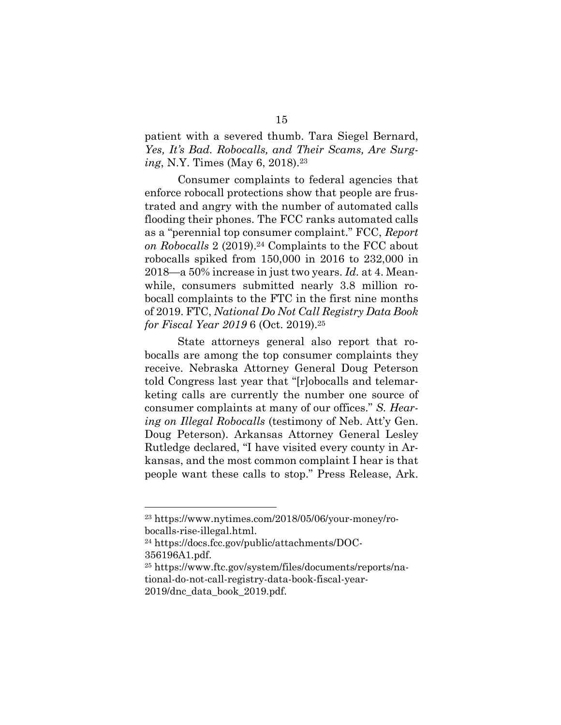patient with a severed thumb. Tara Siegel Bernard, *Yes, It's Bad. Robocalls, and Their Scams, Are Surging*, N.Y. Times (May 6, 2018).<sup>23</sup>

Consumer complaints to federal agencies that enforce robocall protections show that people are frustrated and angry with the number of automated calls flooding their phones. The FCC ranks automated calls as a "perennial top consumer complaint." FCC, *Report on Robocalls* 2 (2019).24 Complaints to the FCC about robocalls spiked from 150,000 in 2016 to 232,000 in 2018—a 50% increase in just two years. *Id.* at 4. Meanwhile, consumers submitted nearly 3.8 million robocall complaints to the FTC in the first nine months of 2019. FTC, *National Do Not Call Registry Data Book for Fiscal Year 2019* 6 (Oct. 2019).<sup>25</sup>

State attorneys general also report that robocalls are among the top consumer complaints they receive. Nebraska Attorney General Doug Peterson told Congress last year that "[r]obocalls and telemarketing calls are currently the number one source of consumer complaints at many of our offices." *S. Hearing on Illegal Robocalls* (testimony of Neb. Att'y Gen. Doug Peterson). Arkansas Attorney General Lesley Rutledge declared, "I have visited every county in Arkansas, and the most common complaint I hear is that people want these calls to stop." Press Release, Ark.

<sup>23</sup> https://www.nytimes.com/2018/05/06/your-money/robocalls-rise-illegal.html.

<sup>24</sup> https://docs.fcc.gov/public/attachments/DOC-356196A1.pdf.

<sup>25</sup> https://www.ftc.gov/system/files/documents/reports/national-do-not-call-registry-data-book-fiscal-year-2019/dnc\_data\_book\_2019.pdf.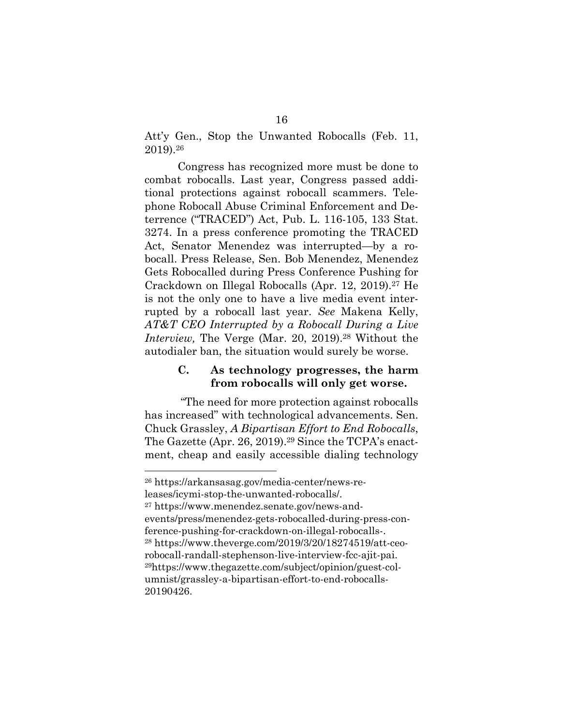Att'y Gen., Stop the Unwanted Robocalls (Feb. 11, 2019).26

Congress has recognized more must be done to combat robocalls. Last year, Congress passed additional protections against robocall scammers. Telephone Robocall Abuse Criminal Enforcement and Deterrence ("TRACED") Act, Pub. L. 116-105, 133 Stat. 3274. In a press conference promoting the TRACED Act, Senator Menendez was interrupted—by a robocall. Press Release, Sen. Bob Menendez, Menendez Gets Robocalled during Press Conference Pushing for Crackdown on Illegal Robocalls (Apr. 12, 2019).<sup>27</sup> He is not the only one to have a live media event interrupted by a robocall last year. *See* Makena Kelly, *AT&T CEO Interrupted by a Robocall During a Live Interview*, The Verge (Mar. 20, 2019).<sup>28</sup> Without the autodialer ban, the situation would surely be worse.

### **C. As technology progresses, the harm from robocalls will only get worse.**

"The need for more protection against robocalls has increased" with technological advancements. Sen. Chuck Grassley, *A Bipartisan Effort to End Robocalls*, The Gazette (Apr. 26, 2019).<sup>29</sup> Since the TCPA's enactment, cheap and easily accessible dialing technology

<sup>27</sup> https://www.menendez.senate.gov/news-andevents/press/menendez-gets-robocalled-during-press-conference-pushing-for-crackdown-on-illegal-robocalls-. <sup>28</sup> https://www.theverge.com/2019/3/20/18274519/att-ceorobocall-randall-stephenson-live-interview-fcc-ajit-pai. 29https://www.thegazette.com/subject/opinion/guest-columnist/grassley-a-bipartisan-effort-to-end-robocalls-20190426.

<sup>26</sup> https://arkansasag.gov/media-center/news-releases/icymi-stop-the-unwanted-robocalls/.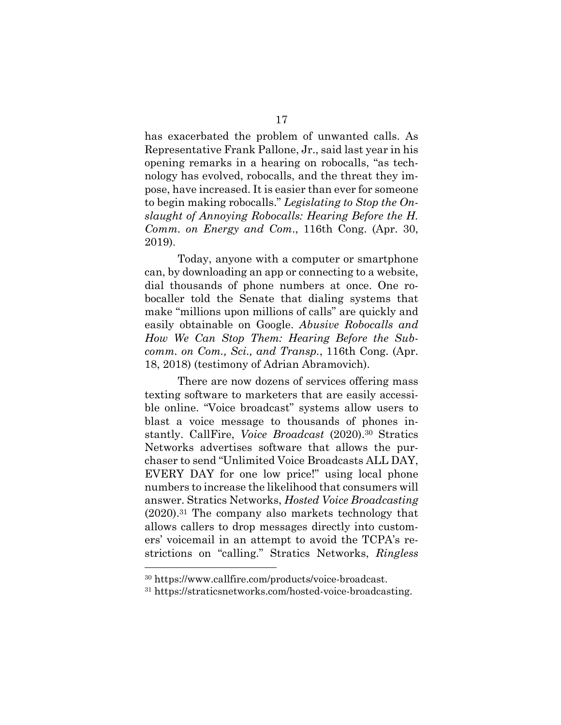has exacerbated the problem of unwanted calls. As Representative Frank Pallone, Jr., said last year in his opening remarks in a hearing on robocalls, "as technology has evolved, robocalls, and the threat they impose, have increased. It is easier than ever for someone to begin making robocalls." *Legislating to Stop the Onslaught of Annoying Robocalls: Hearing Before the H. Comm. on Energy and Com*., 116th Cong. (Apr. 30, 2019).

Today, anyone with a computer or smartphone can, by downloading an app or connecting to a website, dial thousands of phone numbers at once. One robocaller told the Senate that dialing systems that make "millions upon millions of calls" are quickly and easily obtainable on Google. *Abusive Robocalls and How We Can Stop Them: Hearing Before the Subcomm. on Com., Sci., and Transp.*, 116th Cong. (Apr. 18, 2018) (testimony of Adrian Abramovich).

There are now dozens of services offering mass texting software to marketers that are easily accessible online. "Voice broadcast" systems allow users to blast a voice message to thousands of phones instantly. CallFire, *Voice Broadcast* (2020).<sup>30</sup> Stratics Networks advertises software that allows the purchaser to send "Unlimited Voice Broadcasts ALL DAY, EVERY DAY for one low price!" using local phone numbers to increase the likelihood that consumers will answer. Stratics Networks, *Hosted Voice Broadcasting* (2020).31 The company also markets technology that allows callers to drop messages directly into customers' voicemail in an attempt to avoid the TCPA's restrictions on "calling." Stratics Networks, *Ringless* 

<sup>30</sup> https://www.callfire.com/products/voice-broadcast.

<sup>31</sup> https://straticsnetworks.com/hosted-voice-broadcasting.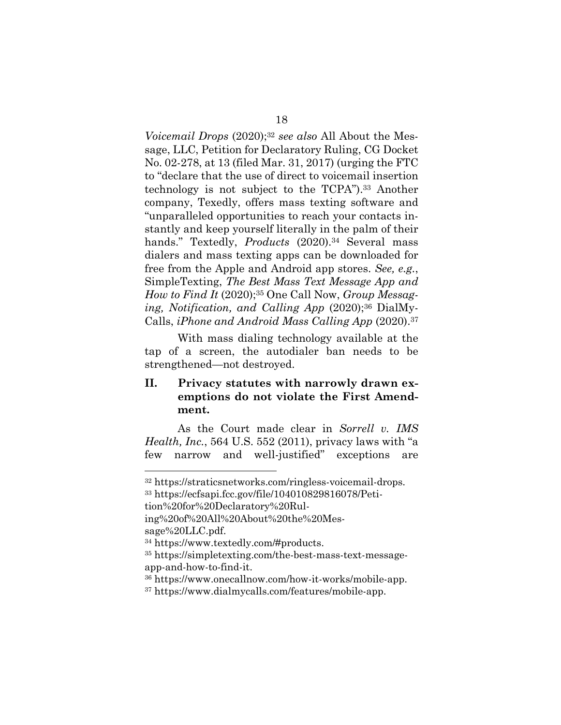*Voicemail Drops* (2020);<sup>32</sup> *see also* All About the Message, LLC, Petition for Declaratory Ruling, CG Docket No. 02-278, at 13 (filed Mar. 31, 2017) (urging the FTC to "declare that the use of direct to voicemail insertion technology is not subject to the TCPA").33 Another company, Texedly, offers mass texting software and "unparalleled opportunities to reach your contacts instantly and keep yourself literally in the palm of their hands." Textedly, *Products* (2020).<sup>34</sup> Several mass dialers and mass texting apps can be downloaded for free from the Apple and Android app stores. *See, e.g.*, SimpleTexting, *The Best Mass Text Message App and How to Find It* (2020);<sup>35</sup> One Call Now, *Group Messaging, Notification, and Calling App* (2020);36 DialMy-Calls, *iPhone and Android Mass Calling App* (2020).37

With mass dialing technology available at the tap of a screen, the autodialer ban needs to be strengthened—not destroyed.

## **II. Privacy statutes with narrowly drawn exemptions do not violate the First Amendment.**

As the Court made clear in *Sorrell v. IMS Health, Inc.*, 564 U.S. 552 (2011), privacy laws with "a few narrow and well-justified" exceptions are

tion%20for%20Declaratory%20Rul-

<sup>32</sup> https://straticsnetworks.com/ringless-voicemail-drops. <sup>33</sup> https://ecfsapi.fcc.gov/file/104010829816078/Peti-

ing%20of%20All%20About%20the%20Message%20LLC.pdf.

<sup>34</sup> https://www.textedly.com/#products.

<sup>35</sup> https://simpletexting.com/the-best-mass-text-messageapp-and-how-to-find-it.

<sup>36</sup> https://www.onecallnow.com/how-it-works/mobile-app.

<sup>37</sup> https://www.dialmycalls.com/features/mobile-app.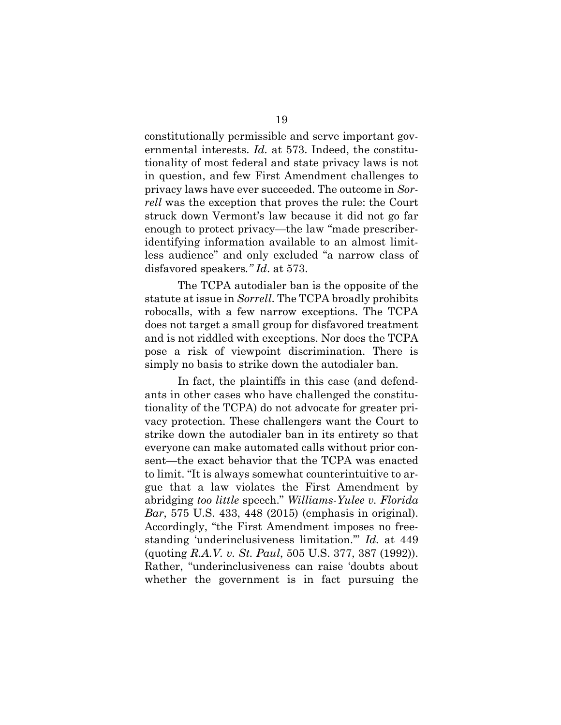constitutionally permissible and serve important governmental interests. *Id.* at 573. Indeed, the constitutionality of most federal and state privacy laws is not in question, and few First Amendment challenges to privacy laws have ever succeeded. The outcome in *Sorrell* was the exception that proves the rule: the Court struck down Vermont's law because it did not go far enough to protect privacy—the law "made prescriberidentifying information available to an almost limitless audience" and only excluded "a narrow class of disfavored speakers*." Id*. at 573.

The TCPA autodialer ban is the opposite of the statute at issue in *Sorrell*. The TCPA broadly prohibits robocalls, with a few narrow exceptions. The TCPA does not target a small group for disfavored treatment and is not riddled with exceptions. Nor does the TCPA pose a risk of viewpoint discrimination. There is simply no basis to strike down the autodialer ban.

In fact, the plaintiffs in this case (and defendants in other cases who have challenged the constitutionality of the TCPA) do not advocate for greater privacy protection. These challengers want the Court to strike down the autodialer ban in its entirety so that everyone can make automated calls without prior consent—the exact behavior that the TCPA was enacted to limit. "It is always somewhat counterintuitive to argue that a law violates the First Amendment by abridging *too little* speech." *Williams-Yulee v. Florida Bar*, 575 U.S. 433, 448 (2015) (emphasis in original). Accordingly, "the First Amendment imposes no freestanding 'underinclusiveness limitation.'" *Id.* at 449 (quoting *R.A.V. v. St. Paul*, 505 U.S. 377, 387 (1992)). Rather, "underinclusiveness can raise 'doubts about whether the government is in fact pursuing the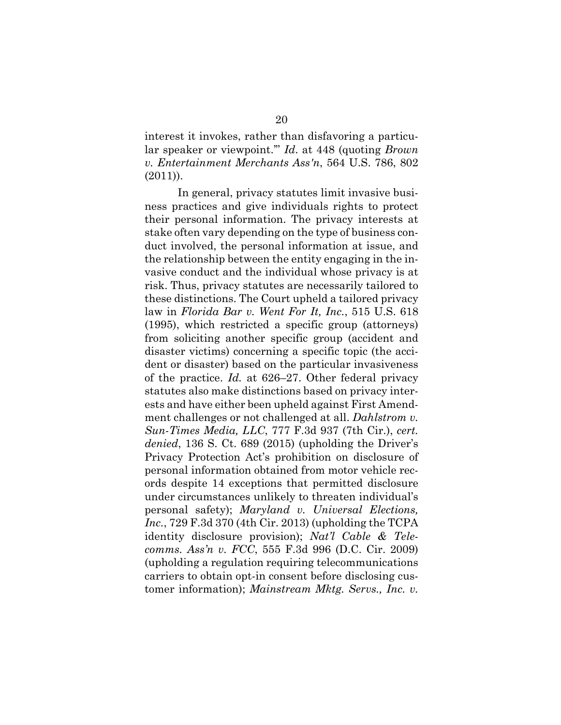interest it invokes, rather than disfavoring a particular speaker or viewpoint.'" *Id*. at 448 (quoting *Brown v. Entertainment Merchants Ass'n*, 564 U.S. 786, 802  $(2011)$ ).

In general, privacy statutes limit invasive business practices and give individuals rights to protect their personal information. The privacy interests at stake often vary depending on the type of business conduct involved, the personal information at issue, and the relationship between the entity engaging in the invasive conduct and the individual whose privacy is at risk. Thus, privacy statutes are necessarily tailored to these distinctions. The Court upheld a tailored privacy law in *Florida Bar v. Went For It, Inc.*, 515 U.S. 618 (1995), which restricted a specific group (attorneys) from soliciting another specific group (accident and disaster victims) concerning a specific topic (the accident or disaster) based on the particular invasiveness of the practice. *Id.* at 626–27. Other federal privacy statutes also make distinctions based on privacy interests and have either been upheld against First Amendment challenges or not challenged at all. *Dahlstrom v. Sun-Times Media, LLC*, 777 F.3d 937 (7th Cir.), *cert. denied*, 136 S. Ct. 689 (2015) (upholding the Driver's Privacy Protection Act's prohibition on disclosure of personal information obtained from motor vehicle records despite 14 exceptions that permitted disclosure under circumstances unlikely to threaten individual's personal safety); *Maryland v. Universal Elections, Inc.*, 729 F.3d 370 (4th Cir. 2013) (upholding the TCPA identity disclosure provision); *Nat'l Cable & Telecomms. Ass'n v. FCC*, 555 F.3d 996 (D.C. Cir. 2009) (upholding a regulation requiring telecommunications carriers to obtain opt-in consent before disclosing customer information); *Mainstream Mktg. Servs., Inc. v.*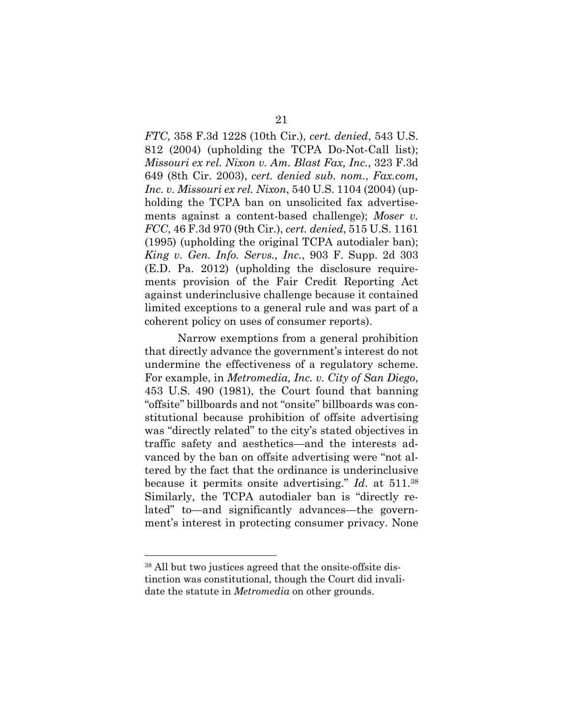*FTC*, 358 F.3d 1228 (10th Cir.), *cert. denied*, 543 U.S. 812 (2004) (upholding the TCPA Do-Not-Call list); *Missouri ex rel. Nixon v. Am. Blast Fax, Inc.*, 323 F.3d 649 (8th Cir. 2003), *cert. denied sub. nom.*, *Fax.com, Inc. v. Missouri ex rel. Nixon*, 540 U.S. 1104 (2004) (upholding the TCPA ban on unsolicited fax advertisements against a content-based challenge); *Moser v. FCC*, 46 F.3d 970 (9th Cir.), *cert. denied*, 515 U.S. 1161 (1995) (upholding the original TCPA autodialer ban); *King v. Gen. Info. Servs., Inc.*, 903 F. Supp. 2d 303 (E.D. Pa. 2012) (upholding the disclosure requirements provision of the Fair Credit Reporting Act against underinclusive challenge because it contained limited exceptions to a general rule and was part of a coherent policy on uses of consumer reports).

Narrow exemptions from a general prohibition that directly advance the government's interest do not undermine the effectiveness of a regulatory scheme. For example, in *Metromedia, Inc. v. City of San Diego*, 453 U.S. 490 (1981), the Court found that banning "offsite" billboards and not "onsite" billboards was constitutional because prohibition of offsite advertising was "directly related" to the city's stated objectives in traffic safety and aesthetics—and the interests advanced by the ban on offsite advertising were "not altered by the fact that the ordinance is underinclusive because it permits onsite advertising." *Id*. at 511.<sup>38</sup> Similarly, the TCPA autodialer ban is "directly related" to—and significantly advances—the government's interest in protecting consumer privacy. None

<sup>38</sup> All but two justices agreed that the onsite-offsite distinction was constitutional, though the Court did invalidate the statute in *Metromedia* on other grounds.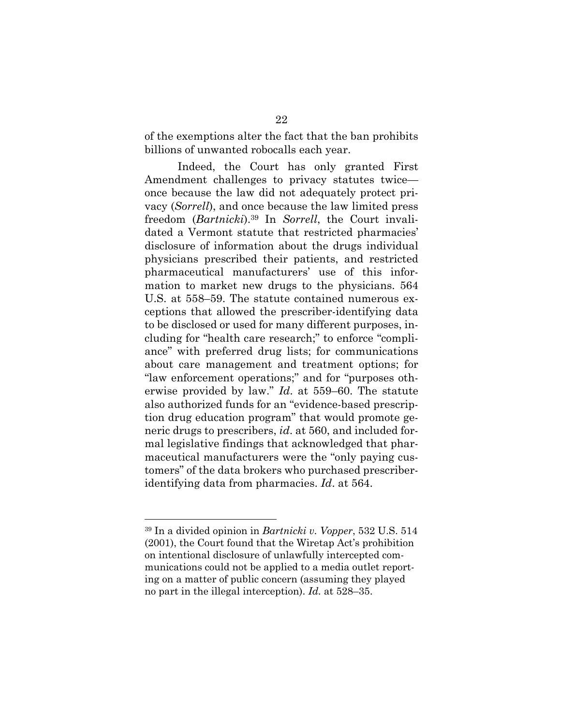of the exemptions alter the fact that the ban prohibits billions of unwanted robocalls each year.

Indeed, the Court has only granted First Amendment challenges to privacy statutes twice once because the law did not adequately protect privacy (*Sorrell*), and once because the law limited press freedom (*Bartnicki*).<sup>39</sup> In *Sorrell*, the Court invalidated a Vermont statute that restricted pharmacies' disclosure of information about the drugs individual physicians prescribed their patients, and restricted pharmaceutical manufacturers' use of this information to market new drugs to the physicians. 564 U.S. at 558–59. The statute contained numerous exceptions that allowed the prescriber-identifying data to be disclosed or used for many different purposes, including for "health care research;" to enforce "compliance" with preferred drug lists; for communications about care management and treatment options; for "law enforcement operations;" and for "purposes otherwise provided by law." *Id*. at 559–60. The statute also authorized funds for an "evidence-based prescription drug education program" that would promote generic drugs to prescribers, *id*. at 560, and included formal legislative findings that acknowledged that pharmaceutical manufacturers were the "only paying customers" of the data brokers who purchased prescriberidentifying data from pharmacies. *Id*. at 564.

<sup>39</sup> In a divided opinion in *Bartnicki v. Vopper*, 532 U.S. 514 (2001), the Court found that the Wiretap Act's prohibition on intentional disclosure of unlawfully intercepted communications could not be applied to a media outlet reporting on a matter of public concern (assuming they played no part in the illegal interception). *Id.* at 528–35.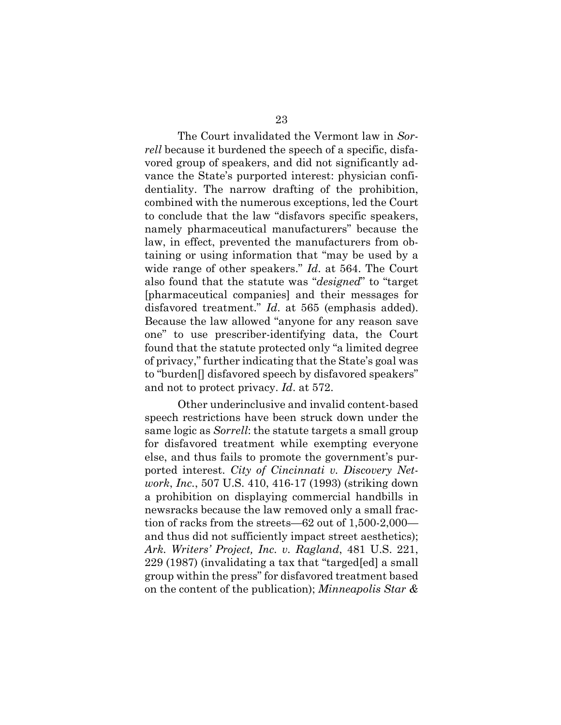The Court invalidated the Vermont law in *Sorrell* because it burdened the speech of a specific, disfavored group of speakers, and did not significantly advance the State's purported interest: physician confidentiality. The narrow drafting of the prohibition, combined with the numerous exceptions, led the Court to conclude that the law "disfavors specific speakers, namely pharmaceutical manufacturers" because the law, in effect, prevented the manufacturers from obtaining or using information that "may be used by a wide range of other speakers." *Id*. at 564. The Court also found that the statute was "*designed*" to "target [pharmaceutical companies] and their messages for disfavored treatment." *Id*. at 565 (emphasis added). Because the law allowed "anyone for any reason save one" to use prescriber-identifying data, the Court found that the statute protected only "a limited degree of privacy," further indicating that the State's goal was to "burden[] disfavored speech by disfavored speakers" and not to protect privacy. *Id*. at 572.

Other underinclusive and invalid content-based speech restrictions have been struck down under the same logic as *Sorrell*: the statute targets a small group for disfavored treatment while exempting everyone else, and thus fails to promote the government's purported interest. *City of Cincinnati v. Discovery Network*, *Inc.*, 507 U.S. 410, 416-17 (1993) (striking down a prohibition on displaying commercial handbills in newsracks because the law removed only a small fraction of racks from the streets—62 out of 1,500-2,000 and thus did not sufficiently impact street aesthetics); *Ark. Writers' Project, Inc. v. Ragland*, 481 U.S. 221, 229 (1987) (invalidating a tax that "targed[ed] a small group within the press" for disfavored treatment based on the content of the publication); *Minneapolis Star &*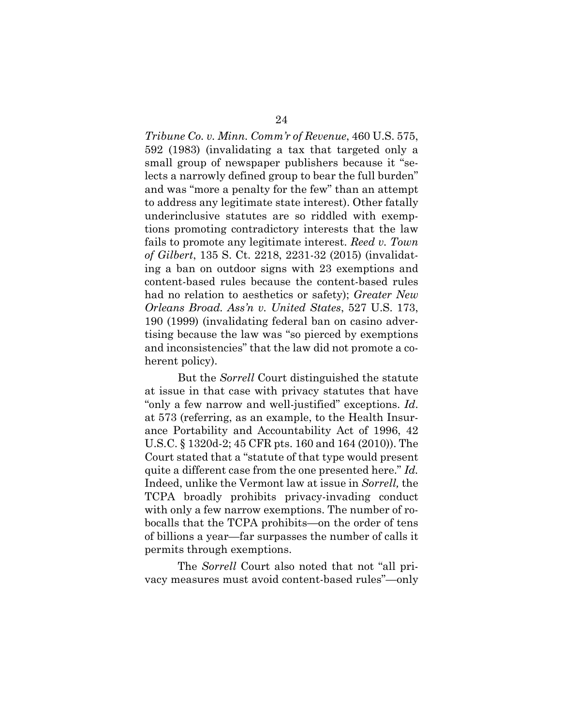*Tribune Co. v. Minn. Comm'r of Revenue*, 460 U.S. 575, 592 (1983) (invalidating a tax that targeted only a small group of newspaper publishers because it "selects a narrowly defined group to bear the full burden" and was "more a penalty for the few" than an attempt to address any legitimate state interest). Other fatally underinclusive statutes are so riddled with exemptions promoting contradictory interests that the law fails to promote any legitimate interest. *Reed v. Town of Gilbert*, 135 S. Ct. 2218, 2231-32 (2015) (invalidating a ban on outdoor signs with 23 exemptions and content-based rules because the content-based rules had no relation to aesthetics or safety); *Greater New Orleans Broad. Ass'n v. United States*, 527 U.S. 173, 190 (1999) (invalidating federal ban on casino advertising because the law was "so pierced by exemptions and inconsistencies" that the law did not promote a coherent policy).

But the *Sorrell* Court distinguished the statute at issue in that case with privacy statutes that have "only a few narrow and well-justified" exceptions. *Id*. at 573 (referring, as an example, to the Health Insurance Portability and Accountability Act of 1996, 42 U.S.C. § 1320d-2; 45 CFR pts. 160 and 164 (2010)). The Court stated that a "statute of that type would present quite a different case from the one presented here." *Id.* Indeed, unlike the Vermont law at issue in *Sorrell,* the TCPA broadly prohibits privacy-invading conduct with only a few narrow exemptions. The number of robocalls that the TCPA prohibits—on the order of tens of billions a year—far surpasses the number of calls it permits through exemptions.

The *Sorrell* Court also noted that not "all privacy measures must avoid content-based rules"—only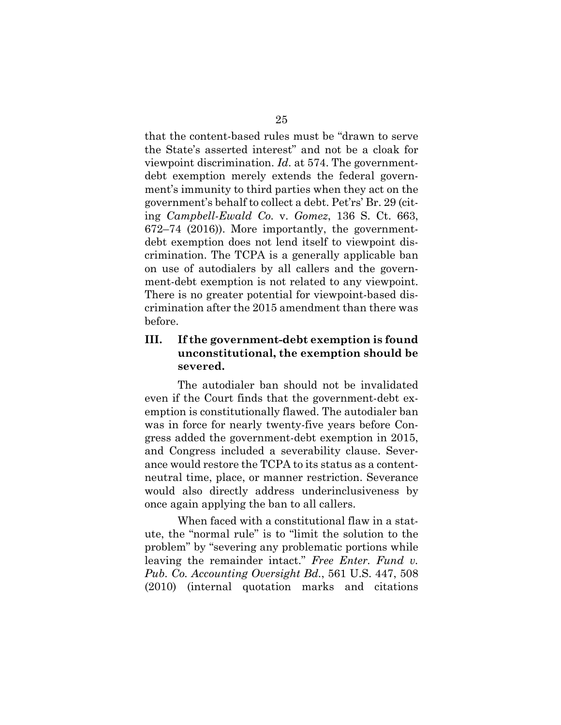that the content-based rules must be "drawn to serve the State's asserted interest" and not be a cloak for viewpoint discrimination. *Id*. at 574. The governmentdebt exemption merely extends the federal government's immunity to third parties when they act on the government's behalf to collect a debt. Pet'rs' Br. 29 (citing *Campbell-Ewald Co.* v. *Gomez*, 136 S. Ct. 663, 672–74 (2016)). More importantly, the governmentdebt exemption does not lend itself to viewpoint discrimination. The TCPA is a generally applicable ban on use of autodialers by all callers and the government-debt exemption is not related to any viewpoint. There is no greater potential for viewpoint-based discrimination after the 2015 amendment than there was before.

## **III. If the government-debt exemption is found unconstitutional, the exemption should be severed.**

The autodialer ban should not be invalidated even if the Court finds that the government-debt exemption is constitutionally flawed. The autodialer ban was in force for nearly twenty-five years before Congress added the government-debt exemption in 2015, and Congress included a severability clause. Severance would restore the TCPA to its status as a contentneutral time, place, or manner restriction. Severance would also directly address underinclusiveness by once again applying the ban to all callers.

When faced with a constitutional flaw in a statute, the "normal rule" is to "limit the solution to the problem" by "severing any problematic portions while leaving the remainder intact." *Free Enter. Fund v. Pub. Co. Accounting Oversight Bd.*, 561 U.S. 447, 508 (2010) (internal quotation marks and citations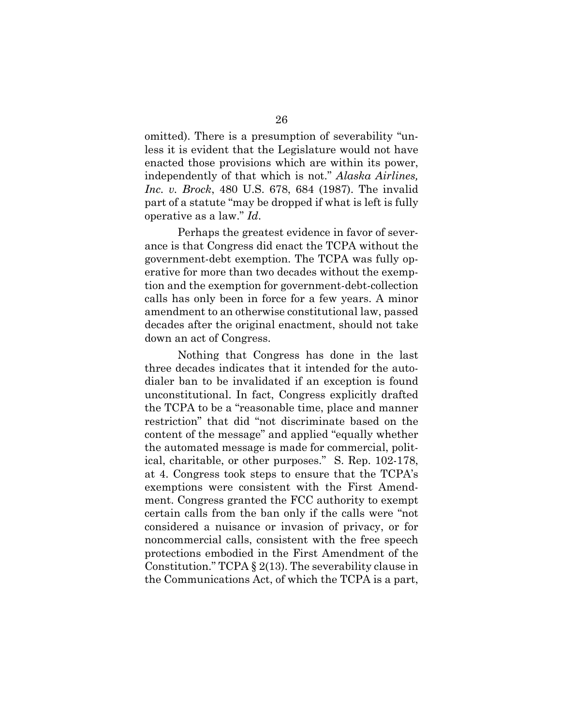omitted). There is a presumption of severability "unless it is evident that the Legislature would not have enacted those provisions which are within its power, independently of that which is not." *Alaska Airlines, Inc. v. Brock*, 480 U.S. 678, 684 (1987). The invalid part of a statute "may be dropped if what is left is fully operative as a law." *Id*.

Perhaps the greatest evidence in favor of severance is that Congress did enact the TCPA without the government-debt exemption. The TCPA was fully operative for more than two decades without the exemption and the exemption for government-debt-collection calls has only been in force for a few years. A minor amendment to an otherwise constitutional law, passed decades after the original enactment, should not take down an act of Congress.

Nothing that Congress has done in the last three decades indicates that it intended for the autodialer ban to be invalidated if an exception is found unconstitutional. In fact, Congress explicitly drafted the TCPA to be a "reasonable time, place and manner restriction" that did "not discriminate based on the content of the message" and applied "equally whether the automated message is made for commercial, political, charitable, or other purposes." S. Rep. 102-178, at 4. Congress took steps to ensure that the TCPA's exemptions were consistent with the First Amendment. Congress granted the FCC authority to exempt certain calls from the ban only if the calls were "not considered a nuisance or invasion of privacy, or for noncommercial calls, consistent with the free speech protections embodied in the First Amendment of the Constitution." TCPA § 2(13). The severability clause in the Communications Act, of which the TCPA is a part,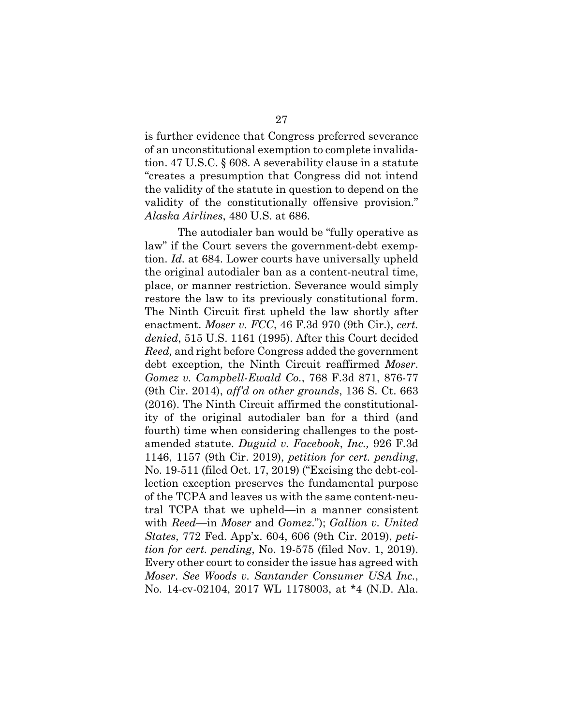is further evidence that Congress preferred severance of an unconstitutional exemption to complete invalidation. 47 U.S.C. § 608. A severability clause in a statute "creates a presumption that Congress did not intend the validity of the statute in question to depend on the validity of the constitutionally offensive provision." *Alaska Airlines*, 480 U.S. at 686.

The autodialer ban would be "fully operative as law" if the Court severs the government-debt exemption. *Id.* at 684. Lower courts have universally upheld the original autodialer ban as a content-neutral time, place, or manner restriction. Severance would simply restore the law to its previously constitutional form. The Ninth Circuit first upheld the law shortly after enactment. *Moser v. FCC*, 46 F.3d 970 (9th Cir.), *cert. denied*, 515 U.S. 1161 (1995). After this Court decided *Reed,* and right before Congress added the government debt exception, the Ninth Circuit reaffirmed *Moser*. *Gomez v. Campbell-Ewald Co.*, 768 F.3d 871, 876-77 (9th Cir. 2014), *aff'd on other grounds*, 136 S. Ct. 663 (2016). The Ninth Circuit affirmed the constitutionality of the original autodialer ban for a third (and fourth) time when considering challenges to the postamended statute. *Duguid v. Facebook*, *Inc.,* 926 F.3d 1146, 1157 (9th Cir. 2019), *petition for cert. pending*, No. 19-511 (filed Oct. 17, 2019) ("Excising the debt-collection exception preserves the fundamental purpose of the TCPA and leaves us with the same content-neutral TCPA that we upheld—in a manner consistent with *Reed*—in *Moser* and *Gomez*."); *Gallion v. United States*, 772 Fed. App'x. 604, 606 (9th Cir. 2019), *petition for cert. pending*, No. 19-575 (filed Nov. 1, 2019). Every other court to consider the issue has agreed with *Moser*. *See Woods v. Santander Consumer USA Inc.*, No. 14-cv-02104, 2017 WL 1178003, at \*4 (N.D. Ala.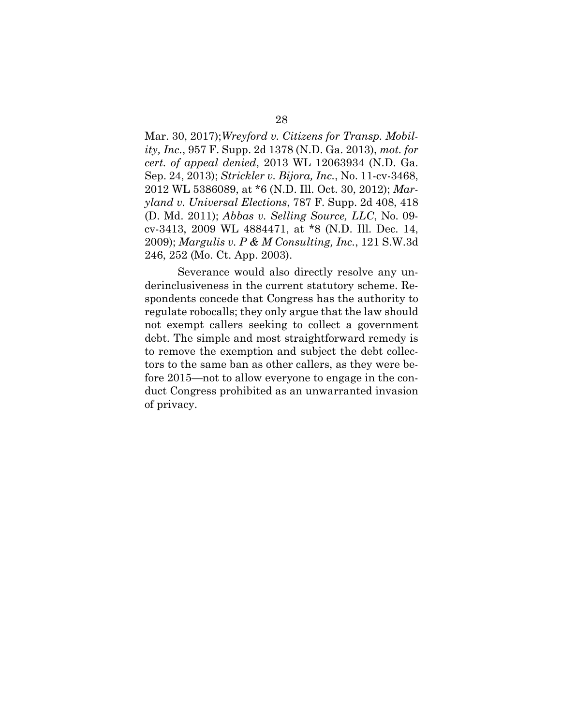Mar. 30, 2017);*Wreyford v. Citizens for Transp. Mobility, Inc.*, 957 F. Supp. 2d 1378 (N.D. Ga. 2013), *mot. for cert. of appeal denied*, 2013 WL 12063934 (N.D. Ga. Sep. 24, 2013); *Strickler v. Bijora, Inc.*, No. 11-cv-3468, 2012 WL 5386089, at \*6 (N.D. Ill. Oct. 30, 2012); *Maryland v. Universal Elections*, 787 F. Supp. 2d 408, 418 (D. Md. 2011); *Abbas v. Selling Source, LLC*, No. 09 cv-3413, 2009 WL 4884471, at \*8 (N.D. Ill. Dec. 14, 2009); *Margulis v. P & M Consulting, Inc.*, 121 S.W.3d 246, 252 (Mo. Ct. App. 2003).

Severance would also directly resolve any underinclusiveness in the current statutory scheme. Respondents concede that Congress has the authority to regulate robocalls; they only argue that the law should not exempt callers seeking to collect a government debt. The simple and most straightforward remedy is to remove the exemption and subject the debt collectors to the same ban as other callers, as they were before 2015—not to allow everyone to engage in the conduct Congress prohibited as an unwarranted invasion of privacy.